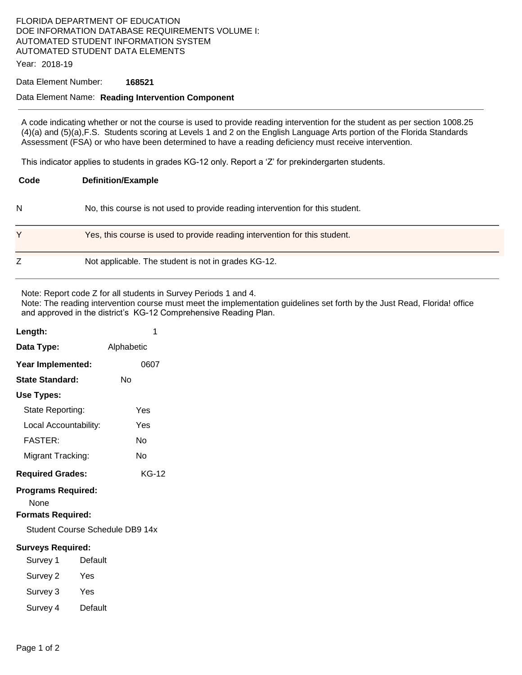## FLORIDA DEPARTMENT OF EDUCATION DOE INFORMATION DATABASE REQUIREMENTS VOLUME I: AUTOMATED STUDENT INFORMATION SYSTEM AUTOMATED STUDENT DATA ELEMENTS

Year: 2018-19

#### Data Element Number: **168521**

#### Data Element Name: **Reading Intervention Component**

A code indicating whether or not the course is used to provide reading intervention for the student as per section 1008.25 (4)(a) and (5)(a),F.S. Students scoring at Levels 1 and 2 on the English Language Arts portion of the Florida Standards Assessment (FSA) or who have been determined to have a reading deficiency must receive intervention.

This indicator applies to students in grades KG-12 only. Report a 'Z' for prekindergarten students.

| Code | <b>Definition/Example</b>                                                     |
|------|-------------------------------------------------------------------------------|
| N    | No, this course is not used to provide reading intervention for this student. |
| Y    | Yes, this course is used to provide reading intervention for this student.    |
| Ζ    | Not applicable. The student is not in grades KG-12.                           |

Note: Report code Z for all students in Survey Periods 1 and 4.

Note: The reading intervention course must meet the implementation guidelines set forth by the Just Read, Florida! office and approved in the district's KG-12 Comprehensive Reading Plan.

| Length:                                                       | 1          |  |  |  |
|---------------------------------------------------------------|------------|--|--|--|
| Data Type:                                                    | Alphabetic |  |  |  |
| Year Implemented:                                             | 0607       |  |  |  |
| <b>State Standard:</b>                                        | Nο         |  |  |  |
| Use Types:                                                    |            |  |  |  |
| State Reporting:                                              | Yes        |  |  |  |
| Local Accountability:                                         | Yes        |  |  |  |
| <b>FASTER:</b>                                                | No         |  |  |  |
| Migrant Tracking:                                             | Nο         |  |  |  |
| <b>Required Grades:</b>                                       | KG-12      |  |  |  |
| <b>Programs Required:</b><br>None<br><b>Formats Required:</b> |            |  |  |  |
| Student Course Schedule DB9 14x                               |            |  |  |  |
| <b>Surveys Required:</b>                                      |            |  |  |  |
| Default<br>Survey 1                                           |            |  |  |  |
| Survey 2<br>Yes                                               |            |  |  |  |
| Survey 3<br>Yes                                               |            |  |  |  |
| Default<br>Survey 4                                           |            |  |  |  |